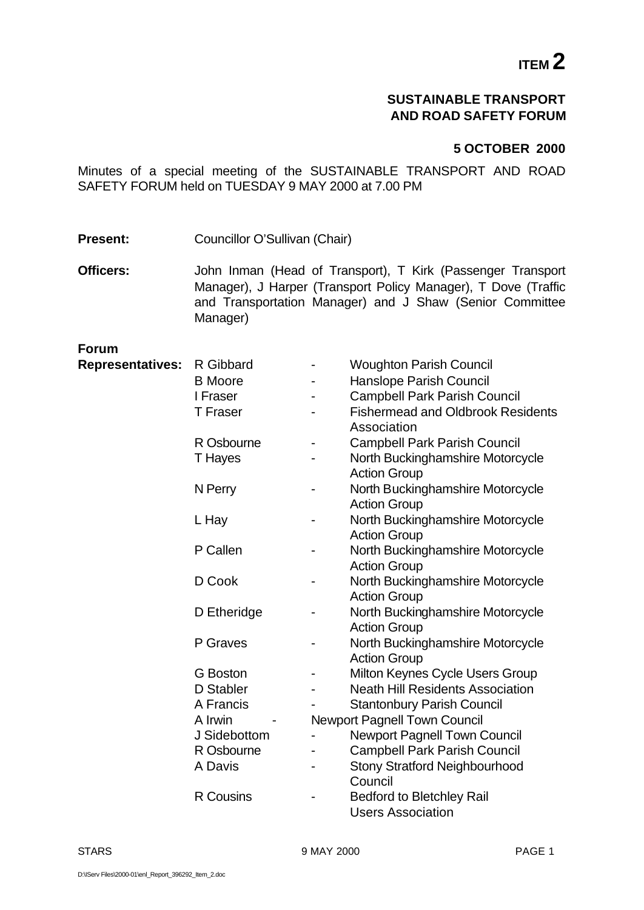**ITEM 2**

# **SUSTAINABLE TRANSPORT AND ROAD SAFETY FORUM**

# **5 OCTOBER 2000**

Minutes of a special meeting of the SUSTAINABLE TRANSPORT AND ROAD SAFETY FORUM held on TUESDAY 9 MAY 2000 at 7.00 PM

- **Present:** Councillor O'Sullivan (Chair)
- **Officers:** John Inman (Head of Transport), T Kirk (Passenger Transport Manager), J Harper (Transport Policy Manager), T Dove (Traffic and Transportation Manager) and J Shaw (Senior Committee Manager)

**Forum**

| <b>Representatives:</b> | R Gibbard        |   | <b>Woughton Parish Council</b>           |
|-------------------------|------------------|---|------------------------------------------|
|                         | <b>B</b> Moore   | - | Hanslope Parish Council                  |
|                         | I Fraser         |   | <b>Campbell Park Parish Council</b>      |
|                         | <b>T</b> Fraser  |   | <b>Fishermead and Oldbrook Residents</b> |
|                         |                  |   | Association                              |
|                         | R Osbourne       |   | <b>Campbell Park Parish Council</b>      |
|                         | T Hayes          |   | North Buckinghamshire Motorcycle         |
|                         |                  |   | <b>Action Group</b>                      |
|                         | N Perry          |   | North Buckinghamshire Motorcycle         |
|                         |                  |   | <b>Action Group</b>                      |
|                         | L Hay            |   | North Buckinghamshire Motorcycle         |
|                         |                  |   | <b>Action Group</b>                      |
|                         | P Callen         | - | North Buckinghamshire Motorcycle         |
|                         |                  |   | <b>Action Group</b>                      |
|                         | D Cook           |   | North Buckinghamshire Motorcycle         |
|                         |                  |   | <b>Action Group</b>                      |
|                         | D Etheridge      |   | North Buckinghamshire Motorcycle         |
|                         |                  |   | <b>Action Group</b>                      |
|                         | P Graves         |   | North Buckinghamshire Motorcycle         |
|                         |                  |   | <b>Action Group</b>                      |
|                         | G Boston         |   | Milton Keynes Cycle Users Group          |
|                         | D Stabler        |   | <b>Neath Hill Residents Association</b>  |
|                         | A Francis        |   | <b>Stantonbury Parish Council</b>        |
|                         | A Irwin          |   | <b>Newport Pagnell Town Council</b>      |
|                         | J Sidebottom     |   | <b>Newport Pagnell Town Council</b>      |
|                         | R Osbourne       |   | <b>Campbell Park Parish Council</b>      |
|                         | A Davis          |   | <b>Stony Stratford Neighbourhood</b>     |
|                         |                  |   | Council                                  |
|                         | <b>R</b> Cousins |   | <b>Bedford to Bletchley Rail</b>         |
|                         |                  |   | <b>Users Association</b>                 |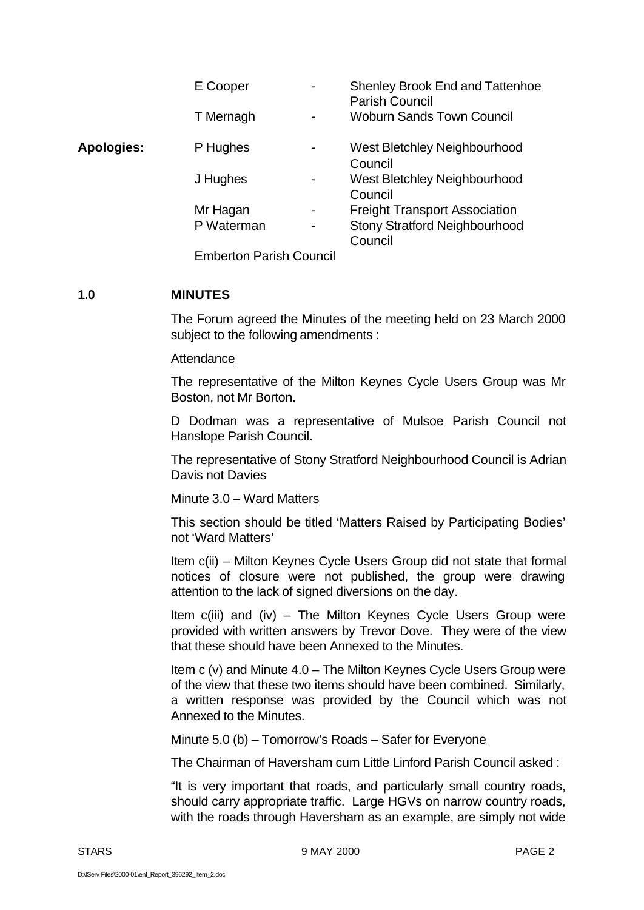|                   | E Cooper   | <b>Shenley Brook End and Tattenhoe</b><br><b>Parish Council</b> |
|-------------------|------------|-----------------------------------------------------------------|
|                   | T Mernagh  | <b>Woburn Sands Town Council</b>                                |
| <b>Apologies:</b> | P Hughes   | West Bletchley Neighbourhood<br>Council                         |
|                   | J Hughes   | West Bletchley Neighbourhood<br>Council                         |
|                   | Mr Hagan   | <b>Freight Transport Association</b>                            |
|                   | P Waterman | <b>Stony Stratford Neighbourhood</b><br>Council                 |

Emberton Parish Council

# **1.0 MINUTES**

The Forum agreed the Minutes of the meeting held on 23 March 2000 subject to the following amendments :

#### Attendance

The representative of the Milton Keynes Cycle Users Group was Mr Boston, not Mr Borton.

D Dodman was a representative of Mulsoe Parish Council not Hanslope Parish Council.

The representative of Stony Stratford Neighbourhood Council is Adrian Davis not Davies

#### Minute 3.0 – Ward Matters

This section should be titled 'Matters Raised by Participating Bodies' not 'Ward Matters'

Item c(ii) – Milton Keynes Cycle Users Group did not state that formal notices of closure were not published, the group were drawing attention to the lack of signed diversions on the day.

Item c(iii) and (iv) – The Milton Keynes Cycle Users Group were provided with written answers by Trevor Dove. They were of the view that these should have been Annexed to the Minutes.

Item c (v) and Minute 4.0 – The Milton Keynes Cycle Users Group were of the view that these two items should have been combined. Similarly, a written response was provided by the Council which was not Annexed to the Minutes.

### Minute 5.0 (b) – Tomorrow's Roads – Safer for Everyone

The Chairman of Haversham cum Little Linford Parish Council asked :

"It is very important that roads, and particularly small country roads, should carry appropriate traffic. Large HGVs on narrow country roads, with the roads through Haversham as an example, are simply not wide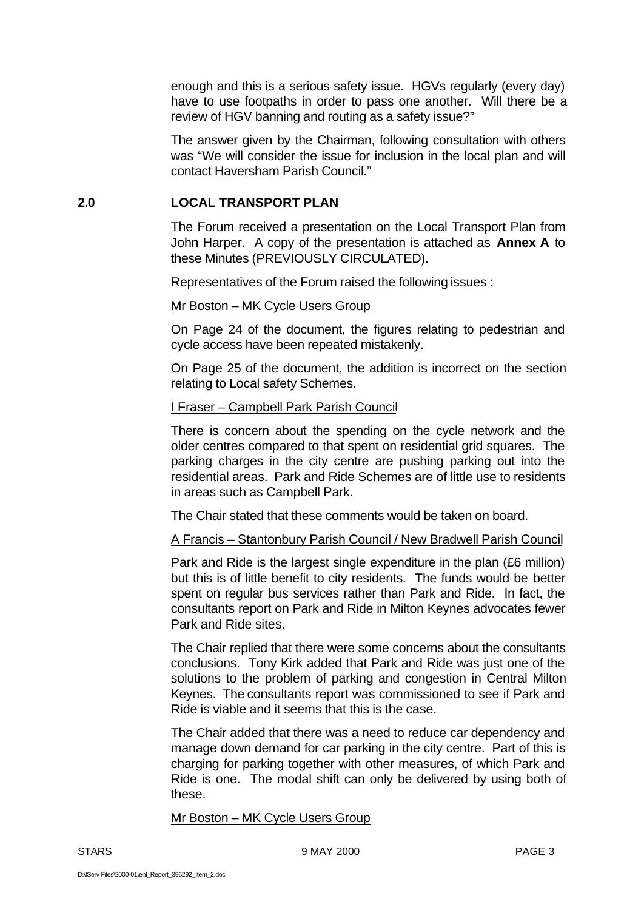enough and this is a serious safety issue. HGVs regularly (every day) have to use footpaths in order to pass one another. Will there be a review of HGV banning and routing as a safety issue?"

The answer given by the Chairman, following consultation with others was "We will consider the issue for inclusion in the local plan and will contact Haversham Parish Council."

### **2.0 LOCAL TRANSPORT PLAN**

The Forum received a presentation on the Local Transport Plan from John Harper. A copy of the presentation is attached as **Annex A** to these Minutes (PREVIOUSLY CIRCULATED).

Representatives of the Forum raised the following issues :

#### Mr Boston – MK Cycle Users Group

On Page 24 of the document, the figures relating to pedestrian and cycle access have been repeated mistakenly.

On Page 25 of the document, the addition is incorrect on the section relating to Local safety Schemes.

#### I Fraser – Campbell Park Parish Council

There is concern about the spending on the cycle network and the older centres compared to that spent on residential grid squares. The parking charges in the city centre are pushing parking out into the residential areas. Park and Ride Schemes are of little use to residents in areas such as Campbell Park.

The Chair stated that these comments would be taken on board.

#### A Francis – Stantonbury Parish Council / New Bradwell Parish Council

Park and Ride is the largest single expenditure in the plan (£6 million) but this is of little benefit to city residents. The funds would be better spent on regular bus services rather than Park and Ride. In fact, the consultants report on Park and Ride in Milton Keynes advocates fewer Park and Ride sites.

The Chair replied that there were some concerns about the consultants conclusions. Tony Kirk added that Park and Ride was just one of the solutions to the problem of parking and congestion in Central Milton Keynes. The consultants report was commissioned to see if Park and Ride is viable and it seems that this is the case.

The Chair added that there was a need to reduce car dependency and manage down demand for car parking in the city centre. Part of this is charging for parking together with other measures, of which Park and Ride is one. The modal shift can only be delivered by using both of these.

Mr Boston – MK Cycle Users Group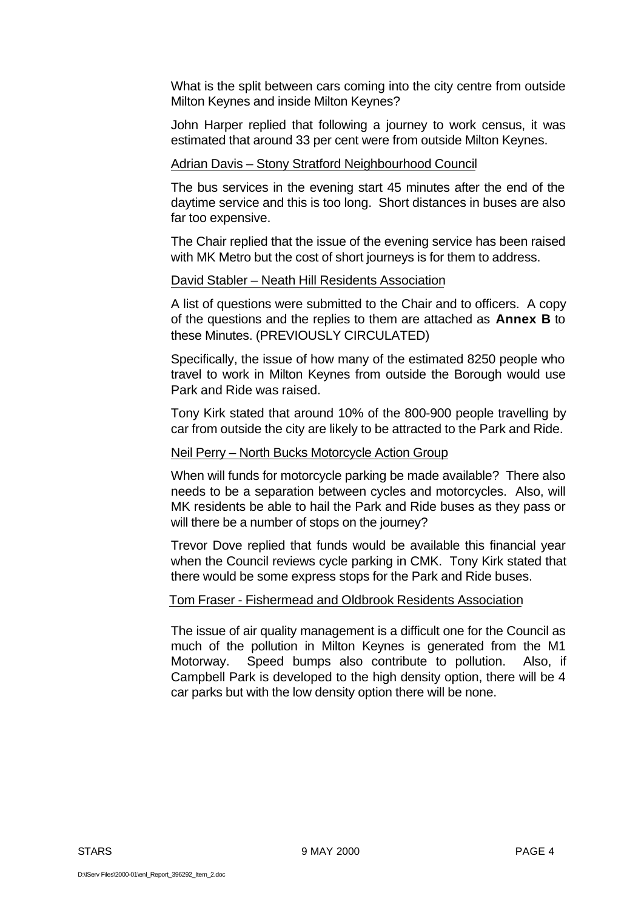What is the split between cars coming into the city centre from outside Milton Keynes and inside Milton Keynes?

John Harper replied that following a journey to work census, it was estimated that around 33 per cent were from outside Milton Keynes.

# Adrian Davis – Stony Stratford Neighbourhood Council

The bus services in the evening start 45 minutes after the end of the daytime service and this is too long. Short distances in buses are also far too expensive.

The Chair replied that the issue of the evening service has been raised with MK Metro but the cost of short journeys is for them to address.

#### David Stabler – Neath Hill Residents Association

A list of questions were submitted to the Chair and to officers. A copy of the questions and the replies to them are attached as **Annex B** to these Minutes. (PREVIOUSLY CIRCULATED)

Specifically, the issue of how many of the estimated 8250 people who travel to work in Milton Keynes from outside the Borough would use Park and Ride was raised.

Tony Kirk stated that around 10% of the 800-900 people travelling by car from outside the city are likely to be attracted to the Park and Ride.

#### Neil Perry – North Bucks Motorcycle Action Group

When will funds for motorcycle parking be made available? There also needs to be a separation between cycles and motorcycles. Also, will MK residents be able to hail the Park and Ride buses as they pass or will there be a number of stops on the journey?

Trevor Dove replied that funds would be available this financial year when the Council reviews cycle parking in CMK. Tony Kirk stated that there would be some express stops for the Park and Ride buses.

#### Tom Fraser - Fishermead and Oldbrook Residents Association

The issue of air quality management is a difficult one for the Council as much of the pollution in Milton Keynes is generated from the M1 Motorway. Speed bumps also contribute to pollution. Also, if Campbell Park is developed to the high density option, there will be 4 car parks but with the low density option there will be none.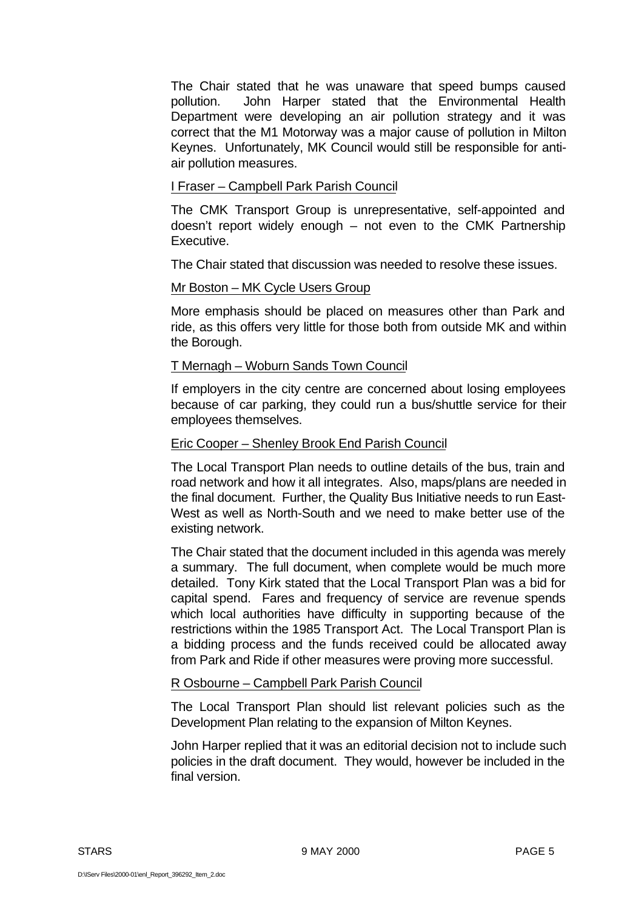The Chair stated that he was unaware that speed bumps caused pollution. John Harper stated that the Environmental Health Department were developing an air pollution strategy and it was correct that the M1 Motorway was a major cause of pollution in Milton Keynes. Unfortunately, MK Council would still be responsible for antiair pollution measures.

# I Fraser – Campbell Park Parish Council

The CMK Transport Group is unrepresentative, self-appointed and doesn't report widely enough – not even to the CMK Partnership Executive.

The Chair stated that discussion was needed to resolve these issues.

# Mr Boston – MK Cycle Users Group

More emphasis should be placed on measures other than Park and ride, as this offers very little for those both from outside MK and within the Borough.

# T Mernagh – Woburn Sands Town Council

If employers in the city centre are concerned about losing employees because of car parking, they could run a bus/shuttle service for their employees themselves.

# Eric Cooper – Shenley Brook End Parish Council

The Local Transport Plan needs to outline details of the bus, train and road network and how it all integrates. Also, maps/plans are needed in the final document. Further, the Quality Bus Initiative needs to run East-West as well as North-South and we need to make better use of the existing network.

The Chair stated that the document included in this agenda was merely a summary. The full document, when complete would be much more detailed. Tony Kirk stated that the Local Transport Plan was a bid for capital spend. Fares and frequency of service are revenue spends which local authorities have difficulty in supporting because of the restrictions within the 1985 Transport Act. The Local Transport Plan is a bidding process and the funds received could be allocated away from Park and Ride if other measures were proving more successful.

### R Osbourne – Campbell Park Parish Council

The Local Transport Plan should list relevant policies such as the Development Plan relating to the expansion of Milton Keynes.

John Harper replied that it was an editorial decision not to include such policies in the draft document. They would, however be included in the final version.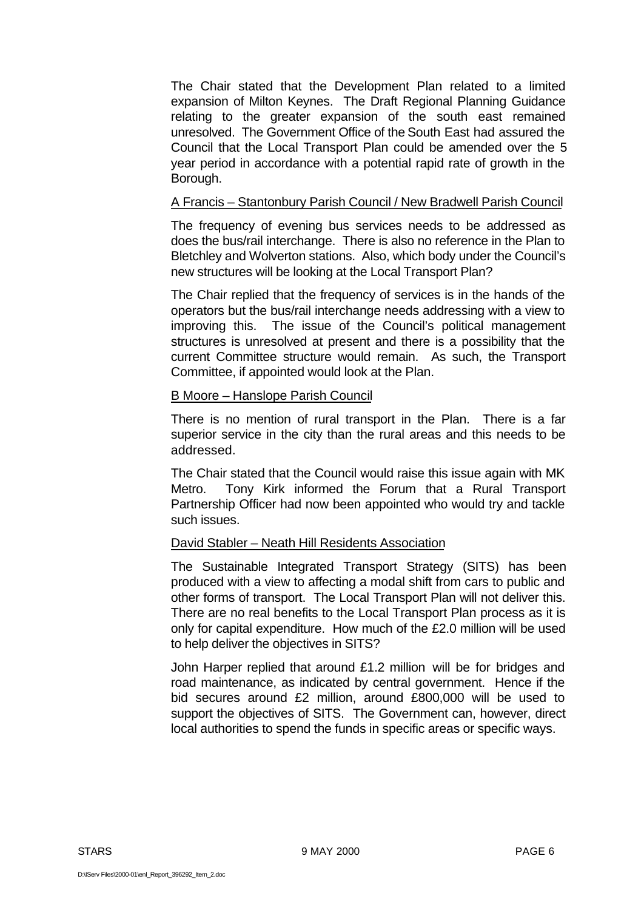The Chair stated that the Development Plan related to a limited expansion of Milton Keynes. The Draft Regional Planning Guidance relating to the greater expansion of the south east remained unresolved. The Government Office of the South East had assured the Council that the Local Transport Plan could be amended over the 5 year period in accordance with a potential rapid rate of growth in the Borough.

### A Francis – Stantonbury Parish Council / New Bradwell Parish Council

The frequency of evening bus services needs to be addressed as does the bus/rail interchange. There is also no reference in the Plan to Bletchley and Wolverton stations. Also, which body under the Council's new structures will be looking at the Local Transport Plan?

The Chair replied that the frequency of services is in the hands of the operators but the bus/rail interchange needs addressing with a view to improving this. The issue of the Council's political management structures is unresolved at present and there is a possibility that the current Committee structure would remain. As such, the Transport Committee, if appointed would look at the Plan.

# B Moore – Hanslope Parish Council

There is no mention of rural transport in the Plan. There is a far superior service in the city than the rural areas and this needs to be addressed.

The Chair stated that the Council would raise this issue again with MK Metro. Tony Kirk informed the Forum that a Rural Transport Partnership Officer had now been appointed who would try and tackle such issues.

# David Stabler – Neath Hill Residents Association

The Sustainable Integrated Transport Strategy (SITS) has been produced with a view to affecting a modal shift from cars to public and other forms of transport. The Local Transport Plan will not deliver this. There are no real benefits to the Local Transport Plan process as it is only for capital expenditure. How much of the £2.0 million will be used to help deliver the objectives in SITS?

John Harper replied that around £1.2 million will be for bridges and road maintenance, as indicated by central government. Hence if the bid secures around £2 million, around £800,000 will be used to support the objectives of SITS. The Government can, however, direct local authorities to spend the funds in specific areas or specific ways.